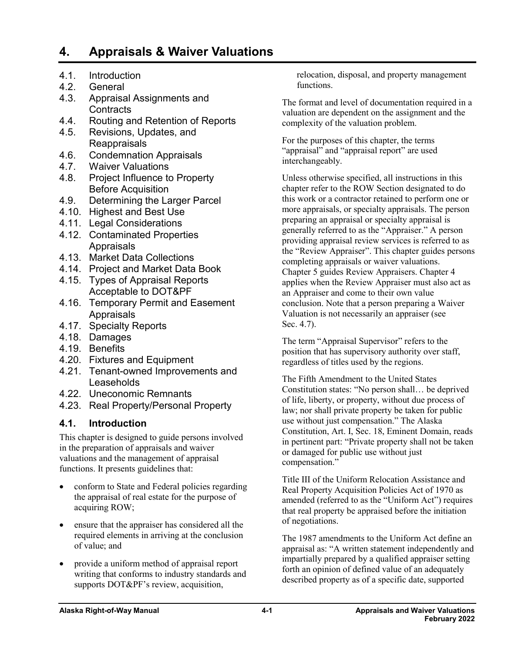# **4. Appraisals & Waiver Valuations**

- 4.1. Introduction<br>4.2. General
- **General**
- 4.3. Appraisal Assignments and **Contracts**
- 4.4. Routing and Retention of Reports
- 4.5. Revisions, Updates, and Reappraisals
- 4.6. Condemnation Appraisals
- 4.7. Waiver Valuations
- 4.8. Project Influence to Property Before Acquisition
- 4.9. Determining the Larger Parcel
- 4.10. Highest and Best Use
- 4.11. Legal Considerations
- 4.12. Contaminated Properties Appraisals
- 4.13. Market Data Collections
- 4.14. Project and Market Data Book
- 4.15. Types of Appraisal Reports Acceptable to DOT&PF
- 4.16. Temporary Permit and Easement Appraisals
- 4.17. Specialty Reports
- 4.18. Damages
- 4.19. Benefits
- 4.20. Fixtures and Equipment
- 4.21. Tenant-owned Improvements and Leaseholds
- 4.22. Uneconomic Remnants
- 4.23. Real Property/Personal Property

# **4.1. Introduction**

This chapter is designed to guide persons involved in the preparation of appraisals and waiver valuations and the management of appraisal functions. It presents guidelines that:

- conform to State and Federal policies regarding the appraisal of real estate for the purpose of acquiring ROW;
- ensure that the appraiser has considered all the required elements in arriving at the conclusion of value; and
- provide a uniform method of appraisal report writing that conforms to industry standards and supports DOT&PF's review, acquisition,

relocation, disposal, and property management functions.

The format and level of documentation required in a valuation are dependent on the assignment and the complexity of the valuation problem.

For the purposes of this chapter, the terms "appraisal" and "appraisal report" are used interchangeably.

Unless otherwise specified, all instructions in this chapter refer to the ROW Section designated to do this work or a contractor retained to perform one or more appraisals, or specialty appraisals. The person preparing an appraisal or specialty appraisal is generally referred to as the "Appraiser." A person providing appraisal review services is referred to as the "Review Appraiser". This chapter guides persons completing appraisals or waiver valuations. Chapter 5 guides Review Appraisers. Chapter 4 applies when the Review Appraiser must also act as an Appraiser and come to their own value conclusion. Note that a person preparing a Waiver Valuation is not necessarily an appraiser (see Sec. 4.7).

The term "Appraisal Supervisor" refers to the position that has supervisory authority over staff, regardless of titles used by the regions.

The Fifth Amendment to the United States Constitution states: "No person shall… be deprived of life, liberty, or property, without due process of law; nor shall private property be taken for public use without just compensation." The Alaska Constitution, Art. I, Sec. 18, Eminent Domain, reads in pertinent part: "Private property shall not be taken or damaged for public use without just compensation."

Title III of the Uniform Relocation Assistance and Real Property Acquisition Policies Act of 1970 as amended (referred to as the "Uniform Act") requires that real property be appraised before the initiation of negotiations.

The 1987 amendments to the Uniform Act define an appraisal as: "A written statement independently and impartially prepared by a qualified appraiser setting forth an opinion of defined value of an adequately described property as of a specific date, supported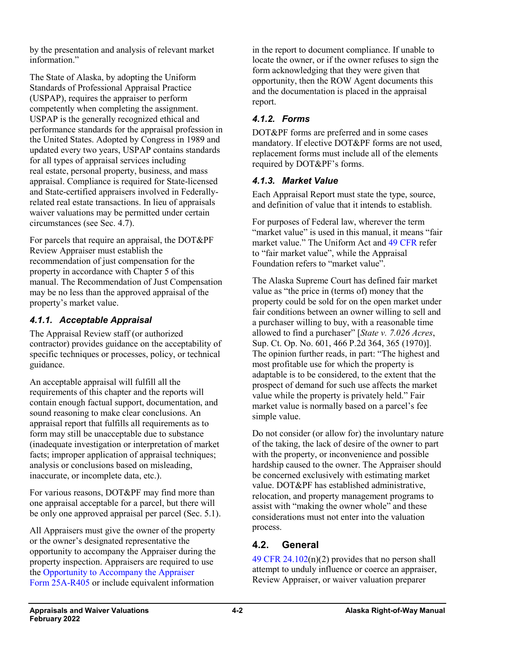by the presentation and analysis of relevant market information."

The State of Alaska, by adopting the Uniform Standards of Professional Appraisal Practice (USPAP), requires the appraiser to perform competently when completing the assignment. USPAP is the generally recognized ethical and performance standards for the appraisal profession in the United States. Adopted by Congress in 1989 and updated every two years, USPAP contains standards for all types of appraisal services including real estate, personal property, business, and mass appraisal. Compliance is required for State-licensed and State-certified appraisers involved in Federallyrelated real estate transactions. In lieu of appraisals waiver valuations may be permitted under certain circumstances (see Sec. 4.7).

For parcels that require an appraisal, the DOT&PF Review Appraiser must establish the recommendation of just compensation for the property in accordance with Chapter 5 of this manual. The Recommendation of Just Compensation may be no less than the approved appraisal of the property's market value.

# *4.1.1. Acceptable Appraisal*

The Appraisal Review staff (or authorized contractor) provides guidance on the acceptability of specific techniques or processes, policy, or technical guidance.

An acceptable appraisal will fulfill all the requirements of this chapter and the reports will contain enough factual support, documentation, and sound reasoning to make clear conclusions. An appraisal report that fulfills all requirements as to form may still be unacceptable due to substance (inadequate investigation or interpretation of market facts; improper application of appraisal techniques; analysis or conclusions based on misleading, inaccurate, or incomplete data, etc.).

For various reasons, DOT&PF may find more than one appraisal acceptable for a parcel, but there will be only one approved appraisal per parcel (Sec. 5.1).

All Appraisers must give the owner of the property or the owner's designated representative the opportunity to accompany the Appraiser during the property inspection. Appraisers are required to use the [Opportunity to Accompany the Appraiser](http://www.dot.state.ak.us/stwddes/dcsrow/assets/pdf/forms/25ar405.pdf) Form [25A-R405](http://www.dot.state.ak.us/stwddes/dcsrow/assets/pdf/forms/25ar405.pdf) or include equivalent information

in the report to document compliance. If unable to locate the owner, or if the owner refuses to sign the form acknowledging that they were given that opportunity, then the ROW Agent documents this and the documentation is placed in the appraisal report.

# *4.1.2. Forms*

DOT&PF forms are preferred and in some cases mandatory. If elective DOT&PF forms are not used, replacement forms must include all of the elements required by DOT&PF's forms.

# *4.1.3. Market Value*

Each Appraisal Report must state the type, source, and definition of value that it intends to establish.

For purposes of Federal law, wherever the term "market value" is used in this manual, it means "fair" market value." The Uniform Act and 49 [CFR](https://www.ecfr.gov/cgi-bin/text-idx?gp=&SID=b6b86018cc67117d7f1bd0f924444668&mc=true&tpl=/ecfrbrowse/Title49/49tab_02.tpl) refer to "fair market value", while the Appraisal Foundation refers to "market value".

The Alaska Supreme Court has defined fair market value as "the price in (terms of) money that the property could be sold for on the open market under fair conditions between an owner willing to sell and a purchaser willing to buy, with a reasonable time allowed to find a purchaser" [*State v. 7.026 Acres*, Sup. Ct. Op. No. 601, 466 P.2d 364, 365 (1970)]. The opinion further reads, in part: "The highest and most profitable use for which the property is adaptable is to be considered, to the extent that the prospect of demand for such use affects the market value while the property is privately held." Fair market value is normally based on a parcel's fee simple value.

Do not consider (or allow for) the involuntary nature of the taking, the lack of desire of the owner to part with the property, or inconvenience and possible hardship caused to the owner. The Appraiser should be concerned exclusively with estimating market value. DOT&PF has established administrative, relocation, and property management programs to assist with "making the owner whole" and these considerations must not enter into the valuation process.

# **4.2. General**

49 CFR [24.102\(](https://www.ecfr.gov/cgi-bin/text-idx?SID=b6b86018cc67117d7f1bd0f924444668&mc=true&node=se49.1.24_1102&rgn=div8)n)(2) provides that no person shall attempt to unduly influence or coerce an appraiser, Review Appraiser, or waiver valuation preparer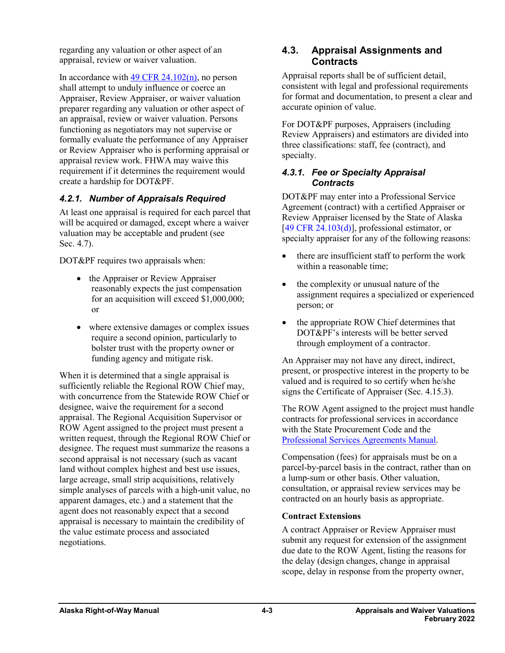regarding any valuation or other aspect of an appraisal, review or waiver valuation.

In accordance with  $\frac{49 \text{ CFR } 24.102(n)}{n}$ , no person shall attempt to unduly influence or coerce an Appraiser, Review Appraiser, or waiver valuation preparer regarding any valuation or other aspect of an appraisal, review or waiver valuation. Persons functioning as negotiators may not supervise or formally evaluate the performance of any Appraiser or Review Appraiser who is performing appraisal or appraisal review work. FHWA may waive this requirement if it determines the requirement would create a hardship for DOT&PF.

## *4.2.1. Number of Appraisals Required*

At least one appraisal is required for each parcel that will be acquired or damaged, except where a waiver valuation may be acceptable and prudent (see Sec. 4.7).

DOT&PF requires two appraisals when:

- the Appraiser or Review Appraiser reasonably expects the just compensation for an acquisition will exceed \$1,000,000; or
- where extensive damages or complex issues require a second opinion, particularly to bolster trust with the property owner or funding agency and mitigate risk.

When it is determined that a single appraisal is sufficiently reliable the Regional ROW Chief may, with concurrence from the Statewide ROW Chief or designee, waive the requirement for a second appraisal. The Regional Acquisition Supervisor or ROW Agent assigned to the project must present a written request, through the Regional ROW Chief or designee. The request must summarize the reasons a second appraisal is not necessary (such as vacant land without complex highest and best use issues, large acreage, small strip acquisitions, relatively simple analyses of parcels with a high-unit value, no apparent damages, etc.) and a statement that the agent does not reasonably expect that a second appraisal is necessary to maintain the credibility of the value estimate process and associated negotiations.

## **4.3. Appraisal Assignments and Contracts**

Appraisal reports shall be of sufficient detail, consistent with legal and professional requirements for format and documentation, to present a clear and accurate opinion of value.

For DOT&PF purposes, Appraisers (including Review Appraisers) and estimators are divided into three classifications: staff, fee (contract), and specialty.

#### *4.3.1. Fee or Specialty Appraisal Contracts*

DOT&PF may enter into a Professional Service Agreement (contract) with a certified Appraiser or Review Appraiser licensed by the State of Alaska  $[49 \text{ CFR } 24.103(d)]$  $[49 \text{ CFR } 24.103(d)]$ , professional estimator, or specialty appraiser for any of the following reasons:

- there are insufficient staff to perform the work within a reasonable time;
- the complexity or unusual nature of the assignment requires a specialized or experienced person; or
- the appropriate ROW Chief determines that DOT&PF's interests will be better served through employment of a contractor.

An Appraiser may not have any direct, indirect, present, or prospective interest in the property to be valued and is required to so certify when he/she signs the Certificate of Appraiser (Sec. 4.15.3).

The ROW Agent assigned to the project must handle contracts for professional services in accordance with the State Procurement Code and the [Professional Services Agreements Manual.](http://dot.alaska.gov/procurement/prosvcs/psamanuals.shtml)

Compensation (fees) for appraisals must be on a parcel-by-parcel basis in the contract, rather than on a lump-sum or other basis. Other valuation, consultation, or appraisal review services may be contracted on an hourly basis as appropriate.

### **Contract Extensions**

A contract Appraiser or Review Appraiser must submit any request for extension of the assignment due date to the ROW Agent, listing the reasons for the delay (design changes, change in appraisal scope, delay in response from the property owner,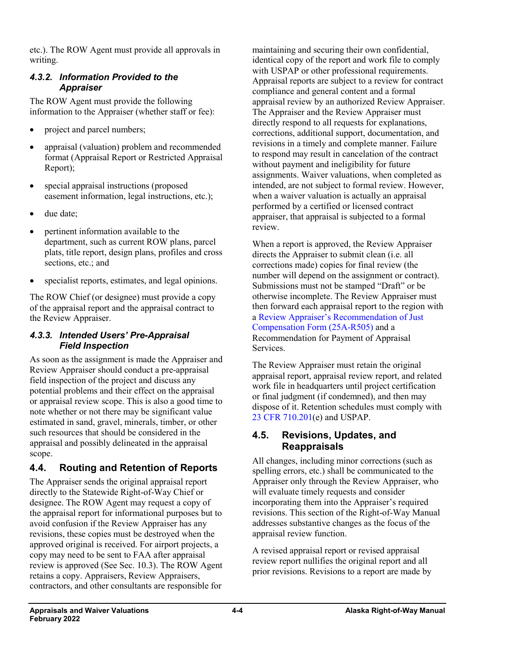etc.). The ROW Agent must provide all approvals in writing.

#### *4.3.2. Information Provided to the Appraiser*

The ROW Agent must provide the following information to the Appraiser (whether staff or fee):

- project and parcel numbers;
- appraisal (valuation) problem and recommended format (Appraisal Report or Restricted Appraisal Report);
- special appraisal instructions (proposed easement information, legal instructions, etc.);
- due date;
- pertinent information available to the department, such as current ROW plans, parcel plats, title report, design plans, profiles and cross sections, etc.; and
- specialist reports, estimates, and legal opinions.

The ROW Chief (or designee) must provide a copy of the appraisal report and the appraisal contract to the Review Appraiser.

## *4.3.3. Intended Users' Pre-Appraisal Field Inspection*

As soon as the assignment is made the Appraiser and Review Appraiser should conduct a pre-appraisal field inspection of the project and discuss any potential problems and their effect on the appraisal or appraisal review scope. This is also a good time to note whether or not there may be significant value estimated in sand, gravel, minerals, timber, or other such resources that should be considered in the appraisal and possibly delineated in the appraisal scope.

# **4.4. Routing and Retention of Reports**

The Appraiser sends the original appraisal report directly to the Statewide Right-of-Way Chief or designee. The ROW Agent may request a copy of the appraisal report for informational purposes but to avoid confusion if the Review Appraiser has any revisions, these copies must be destroyed when the approved original is received. For airport projects, a copy may need to be sent to FAA after appraisal review is approved (See Sec. 10.3). The ROW Agent retains a copy. Appraisers, Review Appraisers, contractors, and other consultants are responsible for

maintaining and securing their own confidential, identical copy of the report and work file to comply with USPAP or other professional requirements. Appraisal reports are subject to a review for contract compliance and general content and a formal appraisal review by an authorized Review Appraiser. The Appraiser and the Review Appraiser must directly respond to all requests for explanations, corrections, additional support, documentation, and revisions in a timely and complete manner. Failure to respond may result in cancelation of the contract without payment and ineligibility for future assignments. Waiver valuations, when completed as intended, are not subject to formal review. However, when a waiver valuation is actually an appraisal performed by a certified or licensed contract appraiser, that appraisal is subjected to a formal review.

When a report is approved, the Review Appraiser directs the Appraiser to submit clean (i.e. all corrections made) copies for final review (the number will depend on the assignment or contract). Submissions must not be stamped "Draft" or be otherwise incomplete. The Review Appraiser must then forward each appraisal report to the region with a [Review Appraiser's Recommendation of Just](http://www.dot.state.ak.us/stwddes/dcsrow/assets/pdf/forms/25ar505.pdf)  [Compensation Form](http://www.dot.state.ak.us/stwddes/dcsrow/assets/pdf/forms/25ar505.pdf) (25A-R505) and a Recommendation for Payment of Appraisal Services.

The Review Appraiser must retain the original appraisal report, appraisal review report, and related work file in headquarters until project certification or final judgment (if condemned), and then may dispose of it. Retention schedules must comply with 23 CFR [710.201\(](https://www.ecfr.gov/cgi-bin/text-idx?SID=132a87db643dd945cb90387028e2f748&mc=true&node=se23.1.710_1201&rgn=div8)e) and USPAP.

# **4.5. Revisions, Updates, and Reappraisals**

All changes, including minor corrections (such as spelling errors, etc.) shall be communicated to the Appraiser only through the Review Appraiser, who will evaluate timely requests and consider incorporating them into the Appraiser's required revisions. This section of the Right-of-Way Manual addresses substantive changes as the focus of the appraisal review function.

A revised appraisal report or revised appraisal review report nullifies the original report and all prior revisions. Revisions to a report are made by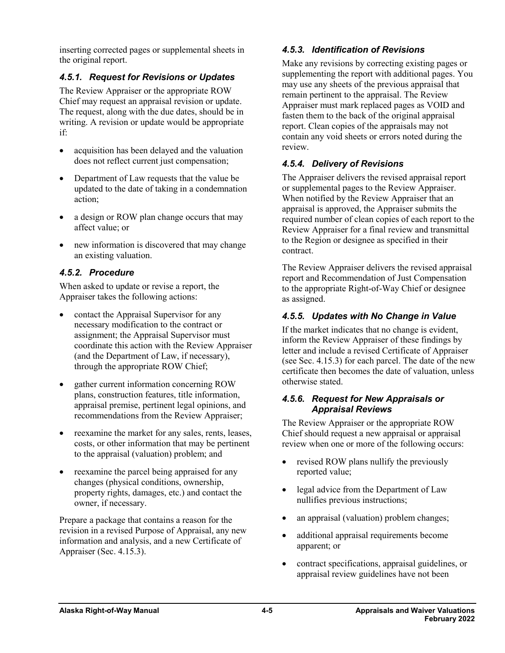inserting corrected pages or supplemental sheets in the original report.

# *4.5.1. Request for Revisions or Updates*

The Review Appraiser or the appropriate ROW Chief may request an appraisal revision or update. The request, along with the due dates, should be in writing. A revision or update would be appropriate if:

- acquisition has been delayed and the valuation does not reflect current just compensation:
- Department of Law requests that the value be updated to the date of taking in a condemnation action;
- a design or ROW plan change occurs that may affect value; or
- new information is discovered that may change an existing valuation.

# *4.5.2. Procedure*

When asked to update or revise a report, the Appraiser takes the following actions:

- contact the Appraisal Supervisor for any necessary modification to the contract or assignment; the Appraisal Supervisor must coordinate this action with the Review Appraiser (and the Department of Law, if necessary), through the appropriate ROW Chief;
- gather current information concerning ROW plans, construction features, title information, appraisal premise, pertinent legal opinions, and recommendations from the Review Appraiser;
- reexamine the market for any sales, rents, leases, costs, or other information that may be pertinent to the appraisal (valuation) problem; and
- reexamine the parcel being appraised for any changes (physical conditions, ownership, property rights, damages, etc.) and contact the owner, if necessary.

Prepare a package that contains a reason for the revision in a revised Purpose of Appraisal, any new information and analysis, and a new Certificate of Appraiser (Sec. 4.15.3).

# *4.5.3. Identification of Revisions*

Make any revisions by correcting existing pages or supplementing the report with additional pages. You may use any sheets of the previous appraisal that remain pertinent to the appraisal. The Review Appraiser must mark replaced pages as VOID and fasten them to the back of the original appraisal report. Clean copies of the appraisals may not contain any void sheets or errors noted during the review.

# *4.5.4. Delivery of Revisions*

The Appraiser delivers the revised appraisal report or supplemental pages to the Review Appraiser. When notified by the Review Appraiser that an appraisal is approved, the Appraiser submits the required number of clean copies of each report to the Review Appraiser for a final review and transmittal to the Region or designee as specified in their contract.

The Review Appraiser delivers the revised appraisal report and Recommendation of Just Compensation to the appropriate Right-of-Way Chief or designee as assigned.

## *4.5.5. Updates with No Change in Value*

If the market indicates that no change is evident, inform the Review Appraiser of these findings by letter and include a revised Certificate of Appraiser (see Sec. 4.15.3) for each parcel. The date of the new certificate then becomes the date of valuation, unless otherwise stated.

#### *4.5.6. Request for New Appraisals or Appraisal Reviews*

The Review Appraiser or the appropriate ROW Chief should request a new appraisal or appraisal review when one or more of the following occurs:

- revised ROW plans nullify the previously reported value;
- legal advice from the Department of Law nullifies previous instructions;
- an appraisal (valuation) problem changes;
- additional appraisal requirements become apparent; or
- contract specifications, appraisal guidelines, or appraisal review guidelines have not been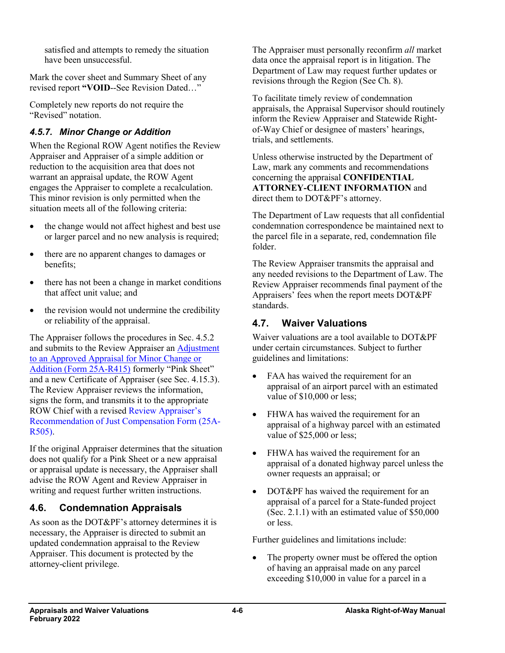satisfied and attempts to remedy the situation have been unsuccessful.

Mark the cover sheet and Summary Sheet of any revised report **"VOID**--See Revision Dated…"

Completely new reports do not require the "Revised" notation.

# *4.5.7. Minor Change or Addition*

When the Regional ROW Agent notifies the Review Appraiser and Appraiser of a simple addition or reduction to the acquisition area that does not warrant an appraisal update, the ROW Agent engages the Appraiser to complete a recalculation. This minor revision is only permitted when the situation meets all of the following criteria:

- the change would not affect highest and best use or larger parcel and no new analysis is required;
- there are no apparent changes to damages or benefits;
- there has not been a change in market conditions that affect unit value; and
- the revision would not undermine the credibility or reliability of the appraisal.

The Appraiser follows the procedures in Sec. 4.5.2 and submits to the Review Appraiser a[n Adjustment](https://dot.alaska.gov/stwddes/dcsrow/assets/pdf/forms/25a_r415.pdf)  [to an Approved Appraisal for Minor Change or](https://dot.alaska.gov/stwddes/dcsrow/assets/pdf/forms/25a_r415.pdf)  [Addition \(Form](https://dot.alaska.gov/stwddes/dcsrow/assets/pdf/forms/25a_r415.pdf) 25A-R415) formerly "Pink Sheet" and a new Certificate of Appraiser (see Sec. 4.15.3). The Review Appraiser reviews the information, signs the form, and transmits it to the appropriate ROW Chief with a revised [Review Appraiser's](http://www.dot.state.ak.us/stwddes/dcsrow/assets/pdf/forms/25ar505.pdf)  [Recommendation of Just Compensation](http://www.dot.state.ak.us/stwddes/dcsrow/assets/pdf/forms/25ar505.pdf) Form (25A-[R505\).](http://www.dot.state.ak.us/stwddes/dcsrow/assets/pdf/forms/25ar505.pdf)

If the original Appraiser determines that the situation does not qualify for a Pink Sheet or a new appraisal or appraisal update is necessary, the Appraiser shall advise the ROW Agent and Review Appraiser in writing and request further written instructions.

# **4.6. Condemnation Appraisals**

As soon as the DOT&PF's attorney determines it is necessary, the Appraiser is directed to submit an updated condemnation appraisal to the Review Appraiser. This document is protected by the attorney-client privilege.

The Appraiser must personally reconfirm *all* market data once the appraisal report is in litigation. The Department of Law may request further updates or revisions through the Region (See Ch. 8).

To facilitate timely review of condemnation appraisals, the Appraisal Supervisor should routinely inform the Review Appraiser and Statewide Rightof-Way Chief or designee of masters' hearings, trials, and settlements.

Unless otherwise instructed by the Department of Law, mark any comments and recommendations concerning the appraisal **CONFIDENTIAL ATTORNEY-CLIENT INFORMATION** and direct them to DOT&PF's attorney.

The Department of Law requests that all confidential condemnation correspondence be maintained next to the parcel file in a separate, red, condemnation file folder.

The Review Appraiser transmits the appraisal and any needed revisions to the Department of Law. The Review Appraiser recommends final payment of the Appraisers' fees when the report meets DOT&PF standards.

# **4.7. Waiver Valuations**

Waiver valuations are a tool available to DOT&PF under certain circumstances. Subject to further guidelines and limitations:

- FAA has waived the requirement for an appraisal of an airport parcel with an estimated value of \$10,000 or less;
- FHWA has waived the requirement for an appraisal of a highway parcel with an estimated value of \$25,000 or less;
- FHWA has waived the requirement for an appraisal of a donated highway parcel unless the owner requests an appraisal; or
- DOT&PF has waived the requirement for an appraisal of a parcel for a State-funded project (Sec. 2.1.1) with an estimated value of \$50,000 or less.

Further guidelines and limitations include:

• The property owner must be offered the option of having an appraisal made on any parcel exceeding \$10,000 in value for a parcel in a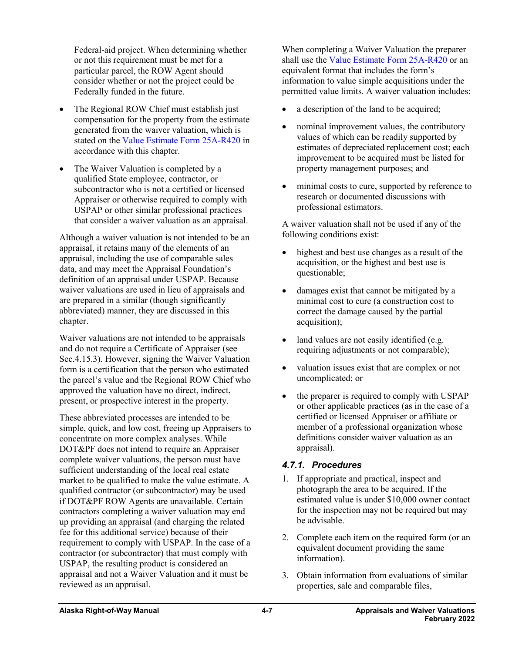Federal-aid project. When determining whether or not this requirement must be met for a particular parcel, the ROW Agent should consider whether or not the project could be Federally funded in the future.

- The Regional ROW Chief must establish just compensation for the property from the estimate generated from the waiver valuation, which is stated on the [Value Estimate Form](http://www.dot.state.ak.us/stwddes/dcsrow/assets/pdf/forms/25ar420.pdf) 25A-R420 in accordance with this chapter.
- The Waiver Valuation is completed by a qualified State employee, contractor, or subcontractor who is not a certified or licensed Appraiser or otherwise required to comply with USPAP or other similar professional practices that consider a waiver valuation as an appraisal.

Although a waiver valuation is not intended to be an appraisal, it retains many of the elements of an appraisal, including the use of comparable sales data, and may meet the Appraisal Foundation's definition of an appraisal under USPAP. Because waiver valuations are used in lieu of appraisals and are prepared in a similar (though significantly abbreviated) manner, they are discussed in this chapter.

Waiver valuations are not intended to be appraisals and do not require a Certificate of Appraiser (see Sec.4.15.3). However, signing the Waiver Valuation form is a certification that the person who estimated the parcel's value and the Regional ROW Chief who approved the valuation have no direct, indirect, present, or prospective interest in the property.

These abbreviated processes are intended to be simple, quick, and low cost, freeing up Appraisers to concentrate on more complex analyses. While DOT&PF does not intend to require an Appraiser complete waiver valuations, the person must have sufficient understanding of the local real estate market to be qualified to make the value estimate. A qualified contractor (or subcontractor) may be used if DOT&PF ROW Agents are unavailable. Certain contractors completing a waiver valuation may end up providing an appraisal (and charging the related fee for this additional service) because of their requirement to comply with USPAP. In the case of a contractor (or subcontractor) that must comply with USPAP, the resulting product is considered an appraisal and not a Waiver Valuation and it must be reviewed as an appraisal.

When completing a Waiver Valuation the preparer shall use the [Value Estimate Form](http://www.dot.state.ak.us/stwddes/dcsrow/assets/pdf/forms/25ar420.pdf) 25A-R420 or an equivalent format that includes the form's information to value simple acquisitions under the permitted value limits. A waiver valuation includes:

- a description of the land to be acquired;
- nominal improvement values, the contributory values of which can be readily supported by estimates of depreciated replacement cost; each improvement to be acquired must be listed for property management purposes; and
- minimal costs to cure, supported by reference to research or documented discussions with professional estimators.

A waiver valuation shall not be used if any of the following conditions exist:

- highest and best use changes as a result of the acquisition, or the highest and best use is questionable;
- damages exist that cannot be mitigated by a minimal cost to cure (a construction cost to correct the damage caused by the partial acquisition);
- land values are not easily identified (e.g. requiring adjustments or not comparable);
- valuation issues exist that are complex or not uncomplicated; or
- the preparer is required to comply with USPAP or other applicable practices (as in the case of a certified or licensed Appraiser or affiliate or member of a professional organization whose definitions consider waiver valuation as an appraisal).

### *4.7.1. Procedures*

- 1. If appropriate and practical, inspect and photograph the area to be acquired. If the estimated value is under \$10,000 owner contact for the inspection may not be required but may be advisable.
- 2. Complete each item on the required form (or an equivalent document providing the same information).
- 3. Obtain information from evaluations of similar properties, sale and comparable files,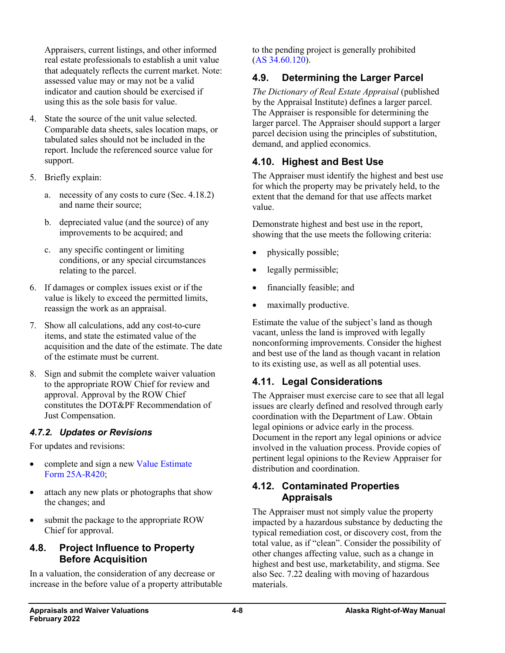Appraisers, current listings, and other informed real estate professionals to establish a unit value that adequately reflects the current market. Note: assessed value may or may not be a valid indicator and caution should be exercised if using this as the sole basis for value.

- 4. State the source of the unit value selected. Comparable data sheets, sales location maps, or tabulated sales should not be included in the report. Include the referenced source value for support.
- 5. Briefly explain:
	- a. necessity of any costs to cure (Sec. 4.18.2) and name their source;
	- b. depreciated value (and the source) of any improvements to be acquired; and
	- c. any specific contingent or limiting conditions, or any special circumstances relating to the parcel.
- 6. If damages or complex issues exist or if the value is likely to exceed the permitted limits, reassign the work as an appraisal.
- 7. Show all calculations, add any cost-to-cure items, and state the estimated value of the acquisition and the date of the estimate. The date of the estimate must be current.
- 8. Sign and submit the complete waiver valuation to the appropriate ROW Chief for review and approval. Approval by the ROW Chief constitutes the DOT&PF Recommendation of Just Compensation.

# *4.7.2. Updates or Revisions*

For updates and revisions:

- complete and sign a new Value Estimate Form [25A-R420;](http://www.dot.state.ak.us/stwddes/dcsrow/assets/pdf/forms/25ar420.pdf)
- attach any new plats or photographs that show the changes; and
- submit the package to the appropriate ROW Chief for approval.

# **4.8. Project Influence to Property Before Acquisition**

In a valuation, the consideration of any decrease or increase in the before value of a property attributable to the pending project is generally prohibited  $(AS\,34.60.120).$  $(AS\,34.60.120).$  $(AS\,34.60.120).$ 

# **4.9. Determining the Larger Parcel**

*The Dictionary of Real Estate Appraisal* (published by the Appraisal Institute) defines a larger parcel. The Appraiser is responsible for determining the larger parcel. The Appraiser should support a larger parcel decision using the principles of substitution, demand, and applied economics.

# **4.10. Highest and Best Use**

The Appraiser must identify the highest and best use for which the property may be privately held, to the extent that the demand for that use affects market value.

Demonstrate highest and best use in the report, showing that the use meets the following criteria:

- physically possible;
- legally permissible;
- financially feasible; and
- maximally productive.

Estimate the value of the subject's land as though vacant, unless the land is improved with legally nonconforming improvements. Consider the highest and best use of the land as though vacant in relation to its existing use, as well as all potential uses.

# **4.11. Legal Considerations**

The Appraiser must exercise care to see that all legal issues are clearly defined and resolved through early coordination with the Department of Law. Obtain legal opinions or advice early in the process. Document in the report any legal opinions or advice involved in the valuation process. Provide copies of pertinent legal opinions to the Review Appraiser for distribution and coordination.

# **4.12. Contaminated Properties Appraisals**

The Appraiser must not simply value the property impacted by a hazardous substance by deducting the typical remediation cost, or discovery cost, from the total value, as if "clean". Consider the possibility of other changes affecting value, such as a change in highest and best use, marketability, and stigma. See also Sec. 7.22 dealing with moving of hazardous materials.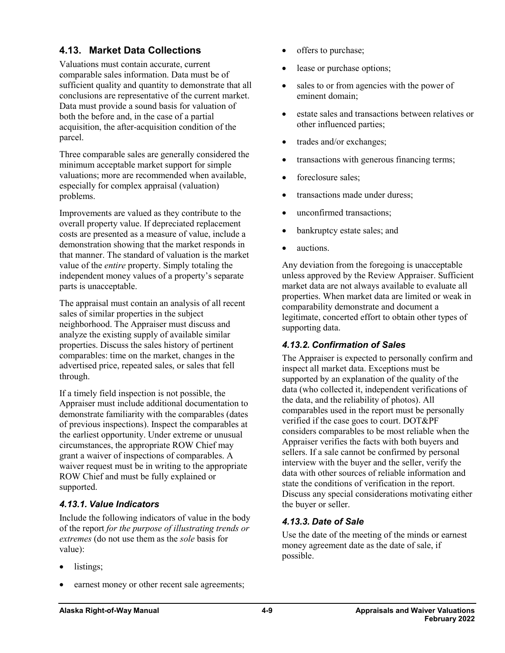# **4.13. Market Data Collections**

Valuations must contain accurate, current comparable sales information. Data must be of sufficient quality and quantity to demonstrate that all conclusions are representative of the current market. Data must provide a sound basis for valuation of both the before and, in the case of a partial acquisition, the after-acquisition condition of the parcel.

Three comparable sales are generally considered the minimum acceptable market support for simple valuations; more are recommended when available, especially for complex appraisal (valuation) problems.

Improvements are valued as they contribute to the overall property value. If depreciated replacement costs are presented as a measure of value, include a demonstration showing that the market responds in that manner. The standard of valuation is the market value of the *entire* property. Simply totaling the independent money values of a property's separate parts is unacceptable.

The appraisal must contain an analysis of all recent sales of similar properties in the subject neighborhood. The Appraiser must discuss and analyze the existing supply of available similar properties. Discuss the sales history of pertinent comparables: time on the market, changes in the advertised price, repeated sales, or sales that fell through.

If a timely field inspection is not possible, the Appraiser must include additional documentation to demonstrate familiarity with the comparables (dates of previous inspections). Inspect the comparables at the earliest opportunity. Under extreme or unusual circumstances, the appropriate ROW Chief may grant a waiver of inspections of comparables. A waiver request must be in writing to the appropriate ROW Chief and must be fully explained or supported.

# *4.13.1. Value Indicators*

Include the following indicators of value in the body of the report *for the purpose of illustrating trends or extremes* (do not use them as the *sole* basis for value):

- listings;
- earnest money or other recent sale agreements;
- offers to purchase;
- lease or purchase options;
- sales to or from agencies with the power of eminent domain;
- estate sales and transactions between relatives or other influenced parties;
- trades and/or exchanges;
- transactions with generous financing terms;
- foreclosure sales;
- transactions made under duress;
- unconfirmed transactions;
- bankruptcy estate sales; and
- auctions.

Any deviation from the foregoing is unacceptable unless approved by the Review Appraiser. Sufficient market data are not always available to evaluate all properties. When market data are limited or weak in comparability demonstrate and document a legitimate, concerted effort to obtain other types of supporting data.

# *4.13.2. Confirmation of Sales*

The Appraiser is expected to personally confirm and inspect all market data. Exceptions must be supported by an explanation of the quality of the data (who collected it, independent verifications of the data, and the reliability of photos). All comparables used in the report must be personally verified if the case goes to court. DOT&PF considers comparables to be most reliable when the Appraiser verifies the facts with both buyers and sellers. If a sale cannot be confirmed by personal interview with the buyer and the seller, verify the data with other sources of reliable information and state the conditions of verification in the report. Discuss any special considerations motivating either the buyer or seller.

# *4.13.3. Date of Sale*

Use the date of the meeting of the minds or earnest money agreement date as the date of sale, if possible.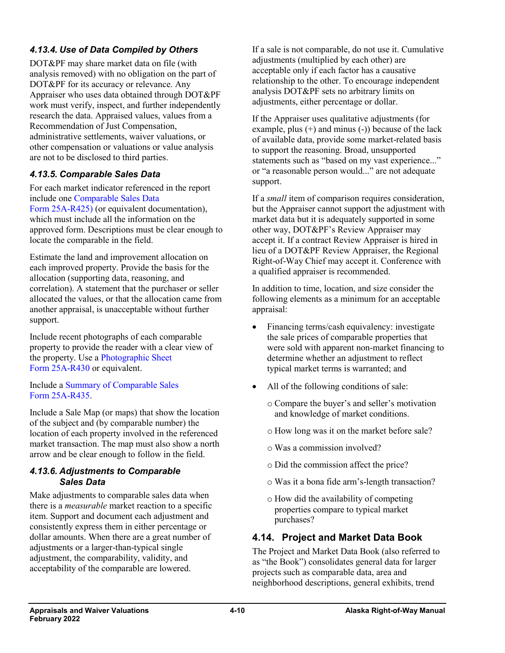# *4.13.4. Use of Data Compiled by Others*

DOT&PF may share market data on file (with analysis removed) with no obligation on the part of DOT&PF for its accuracy or relevance. Any Appraiser who uses data obtained through DOT&PF work must verify, inspect, and further independently research the data. Appraised values, values from a Recommendation of Just Compensation, administrative settlements, waiver valuations, or other compensation or valuations or value analysis are not to be disclosed to third parties.

### *4.13.5. Comparable Sales Data*

For each market indicator referenced in the report include one [Comparable Sales Data](http://www.dot.state.ak.us/stwddes/dcsrow/assets/pdf/forms/25ar425.pdf) Form [25A-R425\)](http://www.dot.state.ak.us/stwddes/dcsrow/assets/pdf/forms/25ar425.pdf) (or equivalent documentation), which must include all the information on the approved form. Descriptions must be clear enough to locate the comparable in the field.

Estimate the land and improvement allocation on each improved property. Provide the basis for the allocation (supporting data, reasoning, and correlation). A statement that the purchaser or seller allocated the values, or that the allocation came from another appraisal, is unacceptable without further support.

Include recent photographs of each comparable property to provide the reader with a clear view of the property. Use a [Photographic Sheet](http://www.dot.state.ak.us/stwddes/dcsrow/assets/pdf/forms/25ar430.pdf)  Form [25A-R430](http://www.dot.state.ak.us/stwddes/dcsrow/assets/pdf/forms/25ar430.pdf) or equivalent.

Include a [Summary of Comparable Sales](http://www.dot.state.ak.us/stwddes/dcsrow/assets/pdf/forms/25ar435.pdf)  Form [25A-R435.](http://www.dot.state.ak.us/stwddes/dcsrow/assets/pdf/forms/25ar435.pdf)

Include a Sale Map (or maps) that show the location of the subject and (by comparable number) the location of each property involved in the referenced market transaction. The map must also show a north arrow and be clear enough to follow in the field.

#### *4.13.6. Adjustments to Comparable Sales Data*

Make adjustments to comparable sales data when there is a *measurable* market reaction to a specific item. Support and document each adjustment and consistently express them in either percentage or dollar amounts. When there are a great number of adjustments or a larger-than-typical single adjustment, the comparability, validity, and acceptability of the comparable are lowered.

If a sale is not comparable, do not use it. Cumulative adjustments (multiplied by each other) are acceptable only if each factor has a causative relationship to the other. To encourage independent analysis DOT&PF sets no arbitrary limits on adjustments, either percentage or dollar.

If the Appraiser uses qualitative adjustments (for example, plus  $(+)$  and minus  $(-)$ ) because of the lack of available data, provide some market-related basis to support the reasoning. Broad, unsupported statements such as "based on my vast experience..." or "a reasonable person would..." are not adequate support.

If a *small* item of comparison requires consideration, but the Appraiser cannot support the adjustment with market data but it is adequately supported in some other way, DOT&PF's Review Appraiser may accept it. If a contract Review Appraiser is hired in lieu of a DOT&PF Review Appraiser, the Regional Right-of-Way Chief may accept it. Conference with a qualified appraiser is recommended.

In addition to time, location, and size consider the following elements as a minimum for an acceptable appraisal:

- Financing terms/cash equivalency: investigate the sale prices of comparable properties that were sold with apparent non-market financing to determine whether an adjustment to reflect typical market terms is warranted; and
- All of the following conditions of sale:
	- o Compare the buyer's and seller's motivation and knowledge of market conditions.
	- o How long was it on the market before sale?
	- o Was a commission involved?
	- o Did the commission affect the price?
	- o Was it a bona fide arm's-length transaction?
	- o How did the availability of competing properties compare to typical market purchases?

# **4.14. Project and Market Data Book**

The Project and Market Data Book (also referred to as "the Book") consolidates general data for larger projects such as comparable data, area and neighborhood descriptions, general exhibits, trend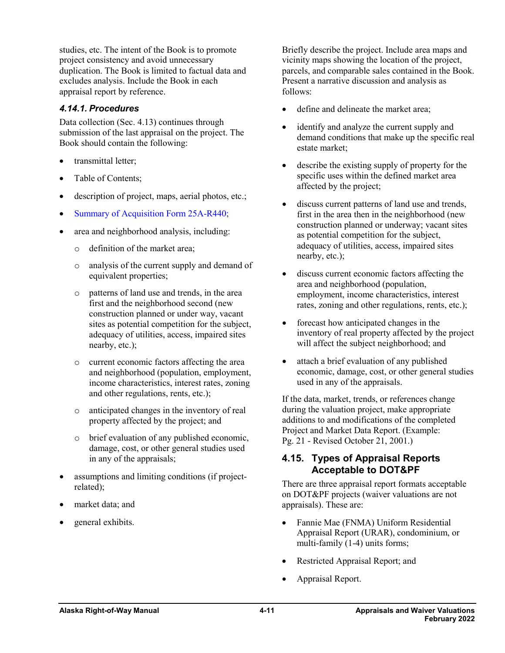studies, etc. The intent of the Book is to promote project consistency and avoid unnecessary duplication. The Book is limited to factual data and excludes analysis. Include the Book in each appraisal report by reference.

## *4.14.1. Procedures*

Data collection (Sec. 4.13) continues through submission of the last appraisal on the project. The Book should contain the following:

- transmittal letter;
- Table of Contents:
- description of project, maps, aerial photos, etc.;
- [Summary of Acquisition](http://www.dot.state.ak.us/stwddes/dcsrow/assets/pdf/forms/25ar440.pdf) Form 25A-R440;
- area and neighborhood analysis, including:
	- o definition of the market area;
	- o analysis of the current supply and demand of equivalent properties;
	- o patterns of land use and trends, in the area first and the neighborhood second (new construction planned or under way, vacant sites as potential competition for the subject, adequacy of utilities, access, impaired sites nearby, etc.);
	- o current economic factors affecting the area and neighborhood (population, employment, income characteristics, interest rates, zoning and other regulations, rents, etc.);
	- o anticipated changes in the inventory of real property affected by the project; and
	- o brief evaluation of any published economic, damage, cost, or other general studies used in any of the appraisals;
- assumptions and limiting conditions (if projectrelated);
- market data; and
- general exhibits.

Briefly describe the project. Include area maps and vicinity maps showing the location of the project, parcels, and comparable sales contained in the Book. Present a narrative discussion and analysis as follows:

- define and delineate the market area;
- identify and analyze the current supply and demand conditions that make up the specific real estate market;
- describe the existing supply of property for the specific uses within the defined market area affected by the project;
- discuss current patterns of land use and trends, first in the area then in the neighborhood (new construction planned or underway; vacant sites as potential competition for the subject, adequacy of utilities, access, impaired sites nearby, etc.);
- discuss current economic factors affecting the area and neighborhood (population, employment, income characteristics, interest rates, zoning and other regulations, rents, etc.);
- forecast how anticipated changes in the inventory of real property affected by the project will affect the subject neighborhood; and
- attach a brief evaluation of any published economic, damage, cost, or other general studies used in any of the appraisals.

If the data, market, trends, or references change during the valuation project, make appropriate additions to and modifications of the completed Project and Market Data Report. (Example: Pg. 21 - Revised October 21, 2001.)

# **4.15. Types of Appraisal Reports Acceptable to DOT&PF**

There are three appraisal report formats acceptable on DOT&PF projects (waiver valuations are not appraisals). These are:

- Fannie Mae (FNMA) Uniform Residential Appraisal Report (URAR), condominium, or multi-family (1-4) units forms;
- Restricted Appraisal Report; and
- Appraisal Report.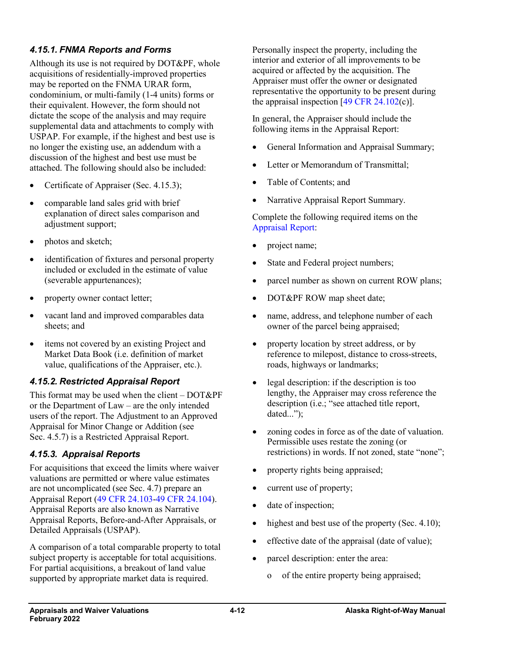# *4.15.1. FNMA Reports and Forms*

Although its use is not required by DOT&PF, whole acquisitions of residentially-improved properties may be reported on the FNMA URAR form, condominium, or multi-family (1-4 units) forms or their equivalent. However, the form should not dictate the scope of the analysis and may require supplemental data and attachments to comply with USPAP. For example, if the highest and best use is no longer the existing use, an addendum with a discussion of the highest and best use must be attached. The following should also be included:

- Certificate of Appraiser (Sec. 4.15.3);
- comparable land sales grid with brief explanation of direct sales comparison and adjustment support;
- photos and sketch;
- identification of fixtures and personal property included or excluded in the estimate of value (severable appurtenances);
- property owner contact letter;
- vacant land and improved comparables data sheets; and
- items not covered by an existing Project and Market Data Book (i.e. definition of market value, qualifications of the Appraiser, etc.).

# *4.15.2. Restricted Appraisal Report*

This format may be used when the client  $-$  DOT&PF or the Department of Law – are the only intended users of the report. The Adjustment to an Approved Appraisal for Minor Change or Addition (see Sec. 4.5.7) is a Restricted Appraisal Report.

# *4.15.3. Appraisal Reports*

For acquisitions that exceed the limits where waiver valuations are permitted or where value estimates are not uncomplicated (see Sec. 4.7) prepare an Appraisal Report (49 CFR [24.103-](https://www.ecfr.gov/cgi-bin/text-idx?SID=b6b86018cc67117d7f1bd0f924444668&mc=true&node=se49.1.24_1103&rgn=div8)49 CFR [24.104\)](https://www.ecfr.gov/cgi-bin/text-idx?SID=b6b86018cc67117d7f1bd0f924444668&mc=true&node=se49.1.24_1104&rgn=div8). Appraisal Reports are also known as Narrative Appraisal Reports, Before-and-After Appraisals, or Detailed Appraisals (USPAP).

A comparison of a total comparable property to total subject property is acceptable for total acquisitions. For partial acquisitions, a breakout of land value supported by appropriate market data is required.

Personally inspect the property, including the interior and exterior of all improvements to be acquired or affected by the acquisition. The Appraiser must offer the owner or designated representative the opportunity to be present during the appraisal inspection  $[49 \text{ CFR } 24.102(c)]$  $[49 \text{ CFR } 24.102(c)]$  $[49 \text{ CFR } 24.102(c)]$ .

In general, the Appraiser should include the following items in the Appraisal Report:

- General Information and Appraisal Summary;
- Letter or Memorandum of Transmittal:
- Table of Contents; and
- Narrative Appraisal Report Summary.

Complete the following required items on the [Appraisal Report:](http://www.dot.state.ak.us/stwddes/dcsrow/pop_rowmanual.shtml)

- project name;
- State and Federal project numbers;
- parcel number as shown on current ROW plans;
- DOT&PF ROW map sheet date;
- name, address, and telephone number of each owner of the parcel being appraised;
- property location by street address, or by reference to milepost, distance to cross-streets, roads, highways or landmarks;
- legal description: if the description is too lengthy, the Appraiser may cross reference the description (i.e.; "see attached title report, dated...");
- zoning codes in force as of the date of valuation. Permissible uses restate the zoning (or restrictions) in words. If not zoned, state "none";
- property rights being appraised;
- current use of property;
- date of inspection;
- highest and best use of the property (Sec. 4.10);
- effective date of the appraisal (date of value);
- parcel description: enter the area:
	- o of the entire property being appraised;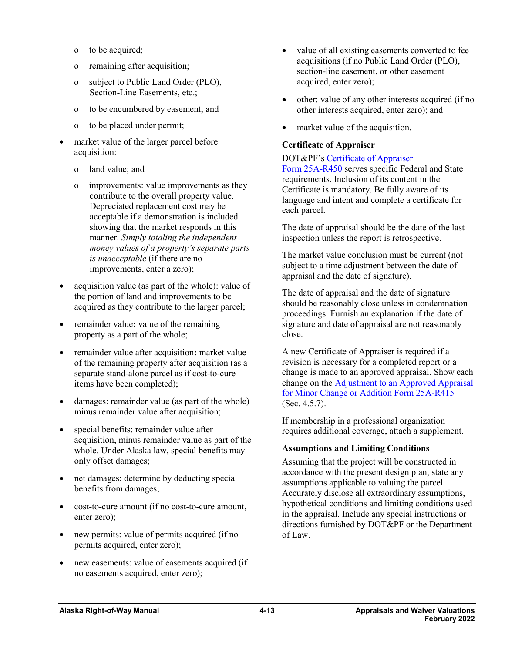- o to be acquired;
- o remaining after acquisition;
- o subject to Public Land Order (PLO), Section-Line Easements, etc.;
- o to be encumbered by easement; and
- o to be placed under permit;
- market value of the larger parcel before acquisition:
	- o land value; and
	- o improvements: value improvements as they contribute to the overall property value. Depreciated replacement cost may be acceptable if a demonstration is included showing that the market responds in this manner. *Simply totaling the independent money values of a property's separate parts is unacceptable* (if there are no improvements, enter a zero);
- acquisition value (as part of the whole): value of the portion of land and improvements to be acquired as they contribute to the larger parcel;
- remainder value**:** value of the remaining property as a part of the whole;
- remainder value after acquisition**:** market value of the remaining property after acquisition (as a separate stand-alone parcel as if cost-to-cure items have been completed);
- damages: remainder value (as part of the whole) minus remainder value after acquisition;
- special benefits: remainder value after acquisition, minus remainder value as part of the whole. Under Alaska law, special benefits may only offset damages;
- net damages: determine by deducting special benefits from damages;
- cost-to-cure amount (if no cost-to-cure amount, enter zero);
- new permits: value of permits acquired (if no permits acquired, enter zero);
- new easements: value of easements acquired (if no easements acquired, enter zero);
- value of all existing easements converted to fee acquisitions (if no Public Land Order (PLO), section-line easement, or other easement acquired, enter zero);
- other: value of any other interests acquired (if no other interests acquired, enter zero); and
- market value of the acquisition.

### **Certificate of Appraiser**

### DOT&PF's [Certificate of Appraiser](http://www.dot.state.ak.us/stwddes/dcsrow/assets/pdf/forms/25ar450.pdf)

Form [25A-R450](http://www.dot.state.ak.us/stwddes/dcsrow/assets/pdf/forms/25ar450.pdf) serves specific Federal and State requirements. Inclusion of its content in the Certificate is mandatory. Be fully aware of its language and intent and complete a certificate for each parcel.

The date of appraisal should be the date of the last inspection unless the report is retrospective.

The market value conclusion must be current (not subject to a time adjustment between the date of appraisal and the date of signature).

The date of appraisal and the date of signature should be reasonably close unless in condemnation proceedings. Furnish an explanation if the date of signature and date of appraisal are not reasonably close.

A new Certificate of Appraiser is required if a revision is necessary for a completed report or a change is made to an approved appraisal. Show each change on the [Adjustment to an Approved Appraisal](http://www.dot.state.ak.us/stwddes/dcsrow/assets/pdf/forms/25ar415.pdf)  [for Minor Change or Addition Form](http://www.dot.state.ak.us/stwddes/dcsrow/assets/pdf/forms/25ar415.pdf) 25A-R415 (Sec. 4.5.7).

If membership in a professional organization requires additional coverage, attach a supplement.

#### **Assumptions and Limiting Conditions**

Assuming that the project will be constructed in accordance with the present design plan, state any assumptions applicable to valuing the parcel. Accurately disclose all extraordinary assumptions, hypothetical conditions and limiting conditions used in the appraisal. Include any special instructions or directions furnished by DOT&PF or the Department of Law.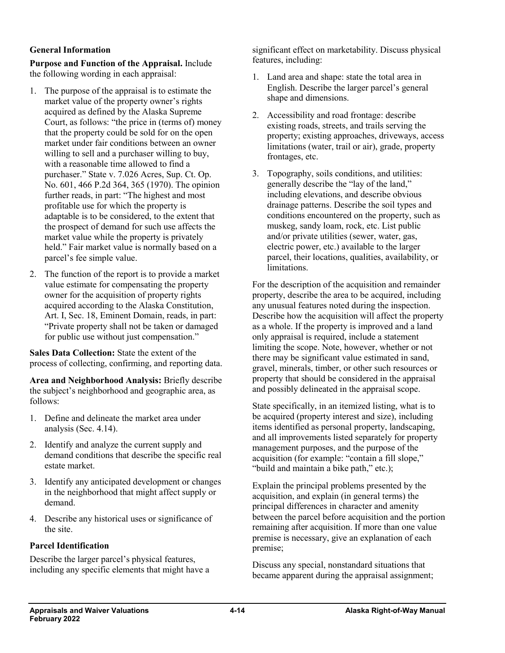#### **General Information**

**Purpose and Function of the Appraisal.** Include the following wording in each appraisal:

- 1. The purpose of the appraisal is to estimate the market value of the property owner's rights acquired as defined by the Alaska Supreme Court, as follows: "the price in (terms of) money that the property could be sold for on the open market under fair conditions between an owner willing to sell and a purchaser willing to buy, with a reasonable time allowed to find a purchaser." State v. 7.026 Acres, Sup. Ct. Op. No. 601, 466 P.2d 364, 365 (1970). The opinion further reads, in part: "The highest and most profitable use for which the property is adaptable is to be considered, to the extent that the prospect of demand for such use affects the market value while the property is privately held." Fair market value is normally based on a parcel's fee simple value.
- 2. The function of the report is to provide a market value estimate for compensating the property owner for the acquisition of property rights acquired according to the Alaska Constitution, Art. I, Sec. 18, Eminent Domain, reads, in part: "Private property shall not be taken or damaged for public use without just compensation."

**Sales Data Collection:** State the extent of the process of collecting, confirming, and reporting data.

**Area and Neighborhood Analysis:** Briefly describe the subject's neighborhood and geographic area, as follows:

- 1. Define and delineate the market area under analysis (Sec. 4.14).
- 2. Identify and analyze the current supply and demand conditions that describe the specific real estate market.
- 3. Identify any anticipated development or changes in the neighborhood that might affect supply or demand.
- 4. Describe any historical uses or significance of the site.

#### **Parcel Identification**

Describe the larger parcel's physical features, including any specific elements that might have a significant effect on marketability. Discuss physical features, including:

- 1. Land area and shape: state the total area in English. Describe the larger parcel's general shape and dimensions.
- 2. Accessibility and road frontage: describe existing roads, streets, and trails serving the property; existing approaches, driveways, access limitations (water, trail or air), grade, property frontages, etc.
- 3. Topography, soils conditions, and utilities: generally describe the "lay of the land," including elevations, and describe obvious drainage patterns. Describe the soil types and conditions encountered on the property, such as muskeg, sandy loam, rock, etc. List public and/or private utilities (sewer, water, gas, electric power, etc.) available to the larger parcel, their locations, qualities, availability, or limitations.

For the description of the acquisition and remainder property, describe the area to be acquired, including any unusual features noted during the inspection. Describe how the acquisition will affect the property as a whole. If the property is improved and a land only appraisal is required, include a statement limiting the scope. Note, however, whether or not there may be significant value estimated in sand, gravel, minerals, timber, or other such resources or property that should be considered in the appraisal and possibly delineated in the appraisal scope.

State specifically, in an itemized listing, what is to be acquired (property interest and size), including items identified as personal property, landscaping, and all improvements listed separately for property management purposes, and the purpose of the acquisition (for example: "contain a fill slope," "build and maintain a bike path," etc.);

Explain the principal problems presented by the acquisition, and explain (in general terms) the principal differences in character and amenity between the parcel before acquisition and the portion remaining after acquisition. If more than one value premise is necessary, give an explanation of each premise;

Discuss any special, nonstandard situations that became apparent during the appraisal assignment;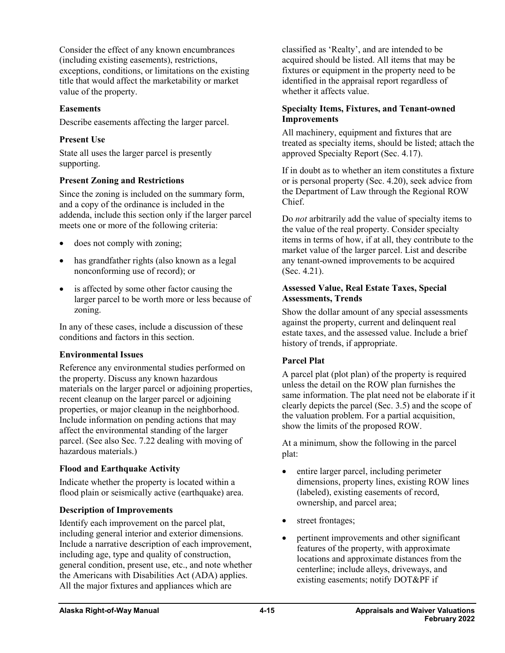Consider the effect of any known encumbrances (including existing easements), restrictions, exceptions, conditions, or limitations on the existing title that would affect the marketability or market value of the property.

#### **Easements**

Describe easements affecting the larger parcel.

#### **Present Use**

State all uses the larger parcel is presently supporting.

#### **Present Zoning and Restrictions**

Since the zoning is included on the summary form, and a copy of the ordinance is included in the addenda, include this section only if the larger parcel meets one or more of the following criteria:

- does not comply with zoning;
- has grandfather rights (also known as a legal nonconforming use of record); or
- is affected by some other factor causing the larger parcel to be worth more or less because of zoning.

In any of these cases, include a discussion of these conditions and factors in this section.

### **Environmental Issues**

Reference any environmental studies performed on the property. Discuss any known hazardous materials on the larger parcel or adjoining properties, recent cleanup on the larger parcel or adjoining properties, or major cleanup in the neighborhood. Include information on pending actions that may affect the environmental standing of the larger parcel. (See also Sec. 7.22 dealing with moving of hazardous materials.)

### **Flood and Earthquake Activity**

Indicate whether the property is located within a flood plain or seismically active (earthquake) area.

### **Description of Improvements**

Identify each improvement on the parcel plat, including general interior and exterior dimensions. Include a narrative description of each improvement, including age, type and quality of construction, general condition, present use, etc., and note whether the Americans with Disabilities Act (ADA) applies. All the major fixtures and appliances which are

classified as 'Realty', and are intended to be acquired should be listed. All items that may be fixtures or equipment in the property need to be identified in the appraisal report regardless of whether it affects value.

#### **Specialty Items, Fixtures, and Tenant-owned Improvements**

All machinery, equipment and fixtures that are treated as specialty items, should be listed; attach the approved Specialty Report (Sec. 4.17).

If in doubt as to whether an item constitutes a fixture or is personal property (Sec. 4.20), seek advice from the Department of Law through the Regional ROW Chief.

Do *not* arbitrarily add the value of specialty items to the value of the real property. Consider specialty items in terms of how, if at all, they contribute to the market value of the larger parcel. List and describe any tenant-owned improvements to be acquired (Sec. 4.21).

#### **Assessed Value, Real Estate Taxes, Special Assessments, Trends**

Show the dollar amount of any special assessments against the property, current and delinquent real estate taxes, and the assessed value. Include a brief history of trends, if appropriate.

### **Parcel Plat**

A parcel plat (plot plan) of the property is required unless the detail on the ROW plan furnishes the same information. The plat need not be elaborate if it clearly depicts the parcel (Sec. 3.5) and the scope of the valuation problem. For a partial acquisition, show the limits of the proposed ROW.

At a minimum, show the following in the parcel plat:

- entire larger parcel, including perimeter dimensions, property lines, existing ROW lines (labeled), existing easements of record, ownership, and parcel area;
- street frontages;
- pertinent improvements and other significant features of the property, with approximate locations and approximate distances from the centerline; include alleys, driveways, and existing easements; notify DOT&PF if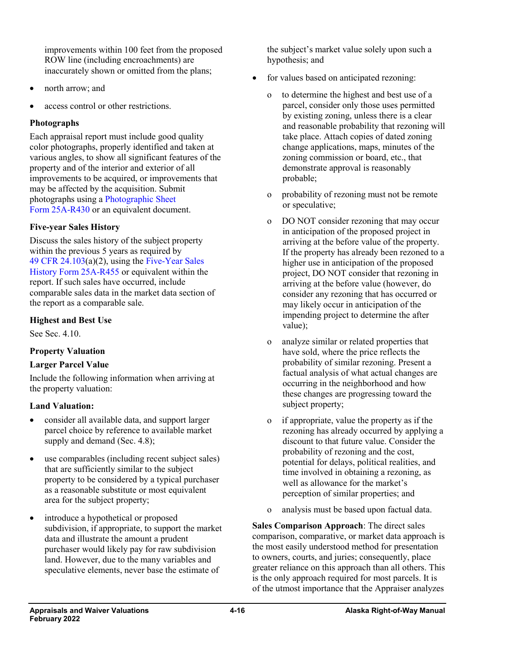improvements within 100 feet from the proposed ROW line (including encroachments) are inaccurately shown or omitted from the plans;

- north arrow; and
- access control or other restrictions.

#### **Photographs**

Each appraisal report must include good quality color photographs, properly identified and taken at various angles, to show all significant features of the property and of the interior and exterior of all improvements to be acquired, or improvements that may be affected by the acquisition. Submit photographs using a [Photographic Sheet](http://www.dot.state.ak.us/stwddes/dcsrow/assets/pdf/forms/25ar430.pdf)  Form [25A-R430](http://www.dot.state.ak.us/stwddes/dcsrow/assets/pdf/forms/25ar430.pdf) or an equivalent document.

### **Five-year Sales History**

Discuss the sales history of the subject property within the previous 5 years as required by 49 CFR [24.103\(](https://www.ecfr.gov/cgi-bin/text-idx?SID=b6b86018cc67117d7f1bd0f924444668&mc=true&node=se49.1.24_1103&rgn=div8)a)(2), using the [Five-Year Sales](http://www.dot.state.ak.us/stwddes/dcsrow/assets/pdf/forms/25ar455.pdf)  [History Form](http://www.dot.state.ak.us/stwddes/dcsrow/assets/pdf/forms/25ar455.pdf) 25A-R455 or equivalent within the report. If such sales have occurred, include comparable sales data in the market data section of the report as a comparable sale.

#### **Highest and Best Use**

See Sec. 4.10.

### **Property Valuation**

#### **Larger Parcel Value**

Include the following information when arriving at the property valuation:

#### **Land Valuation:**

- consider all available data, and support larger parcel choice by reference to available market supply and demand (Sec. 4.8);
- use comparables (including recent subject sales) that are sufficiently similar to the subject property to be considered by a typical purchaser as a reasonable substitute or most equivalent area for the subject property;
- introduce a hypothetical or proposed subdivision, if appropriate, to support the market data and illustrate the amount a prudent purchaser would likely pay for raw subdivision land. However, due to the many variables and speculative elements, never base the estimate of

the subject's market value solely upon such a hypothesis; and

- for values based on anticipated rezoning:
	- o to determine the highest and best use of a parcel, consider only those uses permitted by existing zoning, unless there is a clear and reasonable probability that rezoning will take place. Attach copies of dated zoning change applications, maps, minutes of the zoning commission or board, etc., that demonstrate approval is reasonably probable;
	- o probability of rezoning must not be remote or speculative;
	- o DO NOT consider rezoning that may occur in anticipation of the proposed project in arriving at the before value of the property. If the property has already been rezoned to a higher use in anticipation of the proposed project, DO NOT consider that rezoning in arriving at the before value (however, do consider any rezoning that has occurred or may likely occur in anticipation of the impending project to determine the after value);
	- o analyze similar or related properties that have sold, where the price reflects the probability of similar rezoning. Present a factual analysis of what actual changes are occurring in the neighborhood and how these changes are progressing toward the subject property;
	- o if appropriate, value the property as if the rezoning has already occurred by applying a discount to that future value. Consider the probability of rezoning and the cost, potential for delays, political realities, and time involved in obtaining a rezoning, as well as allowance for the market's perception of similar properties; and
	- o analysis must be based upon factual data.

**Sales Comparison Approach**: The direct sales comparison, comparative, or market data approach is the most easily understood method for presentation to owners, courts, and juries; consequently, place greater reliance on this approach than all others. This is the only approach required for most parcels. It is of the utmost importance that the Appraiser analyzes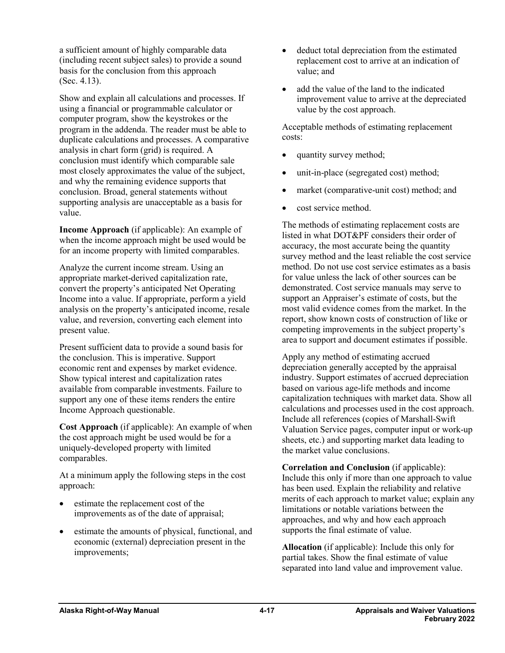a sufficient amount of highly comparable data (including recent subject sales) to provide a sound basis for the conclusion from this approach (Sec. 4.13).

Show and explain all calculations and processes. If using a financial or programmable calculator or computer program, show the keystrokes or the program in the addenda. The reader must be able to duplicate calculations and processes. A comparative analysis in chart form (grid) is required. A conclusion must identify which comparable sale most closely approximates the value of the subject, and why the remaining evidence supports that conclusion. Broad, general statements without supporting analysis are unacceptable as a basis for value.

**Income Approach** (if applicable): An example of when the income approach might be used would be for an income property with limited comparables.

Analyze the current income stream. Using an appropriate market-derived capitalization rate, convert the property's anticipated Net Operating Income into a value. If appropriate, perform a yield analysis on the property's anticipated income, resale value, and reversion, converting each element into present value.

Present sufficient data to provide a sound basis for the conclusion. This is imperative. Support economic rent and expenses by market evidence. Show typical interest and capitalization rates available from comparable investments. Failure to support any one of these items renders the entire Income Approach questionable.

**Cost Approach** (if applicable): An example of when the cost approach might be used would be for a uniquely-developed property with limited comparables.

At a minimum apply the following steps in the cost approach:

- estimate the replacement cost of the improvements as of the date of appraisal;
- estimate the amounts of physical, functional, and economic (external) depreciation present in the improvements;
- deduct total depreciation from the estimated replacement cost to arrive at an indication of value; and
- add the value of the land to the indicated improvement value to arrive at the depreciated value by the cost approach.

Acceptable methods of estimating replacement costs:

- quantity survey method;
- unit-in-place (segregated cost) method;
- market (comparative-unit cost) method; and
- cost service method.

The methods of estimating replacement costs are listed in what DOT&PF considers their order of accuracy, the most accurate being the quantity survey method and the least reliable the cost service method. Do not use cost service estimates as a basis for value unless the lack of other sources can be demonstrated. Cost service manuals may serve to support an Appraiser's estimate of costs, but the most valid evidence comes from the market. In the report, show known costs of construction of like or competing improvements in the subject property's area to support and document estimates if possible.

Apply any method of estimating accrued depreciation generally accepted by the appraisal industry. Support estimates of accrued depreciation based on various age-life methods and income capitalization techniques with market data. Show all calculations and processes used in the cost approach. Include all references (copies of Marshall-Swift Valuation Service pages, computer input or work-up sheets, etc.) and supporting market data leading to the market value conclusions.

**Correlation and Conclusion** (if applicable): Include this only if more than one approach to value has been used. Explain the reliability and relative merits of each approach to market value; explain any limitations or notable variations between the approaches, and why and how each approach supports the final estimate of value.

**Allocation** (if applicable): Include this only for partial takes. Show the final estimate of value separated into land value and improvement value.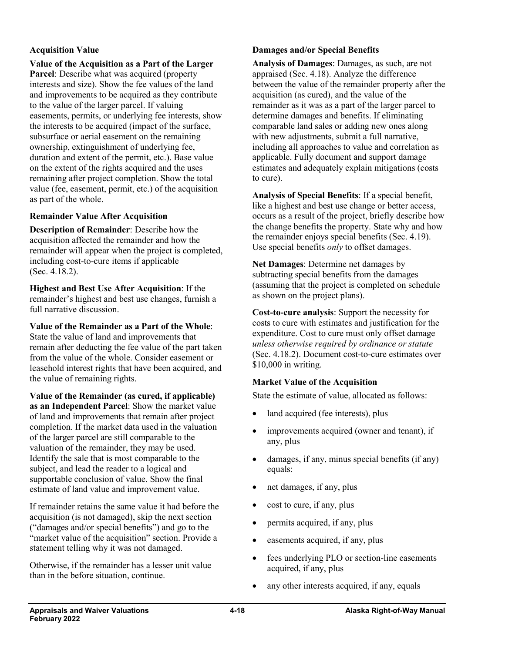#### **Acquisition Value**

**Value of the Acquisition as a Part of the Larger Parcel**: Describe what was acquired (property interests and size). Show the fee values of the land and improvements to be acquired as they contribute to the value of the larger parcel. If valuing easements, permits, or underlying fee interests, show the interests to be acquired (impact of the surface, subsurface or aerial easement on the remaining ownership, extinguishment of underlying fee, duration and extent of the permit, etc.). Base value on the extent of the rights acquired and the uses remaining after project completion. Show the total value (fee, easement, permit, etc.) of the acquisition as part of the whole.

#### **Remainder Value After Acquisition**

**Description of Remainder**: Describe how the acquisition affected the remainder and how the remainder will appear when the project is completed, including cost-to-cure items if applicable (Sec. 4.18.2).

**Highest and Best Use After Acquisition**: If the remainder's highest and best use changes, furnish a full narrative discussion.

**Value of the Remainder as a Part of the Whole**: State the value of land and improvements that remain after deducting the fee value of the part taken from the value of the whole. Consider easement or leasehold interest rights that have been acquired, and the value of remaining rights.

**Value of the Remainder (as cured, if applicable) as an Independent Parcel**: Show the market value of land and improvements that remain after project completion. If the market data used in the valuation of the larger parcel are still comparable to the valuation of the remainder, they may be used. Identify the sale that is most comparable to the subject, and lead the reader to a logical and supportable conclusion of value. Show the final estimate of land value and improvement value.

If remainder retains the same value it had before the acquisition (is not damaged), skip the next section ("damages and/or special benefits") and go to the "market value of the acquisition" section. Provide a statement telling why it was not damaged.

Otherwise, if the remainder has a lesser unit value than in the before situation, continue.

#### **Damages and/or Special Benefits**

**Analysis of Damages**: Damages, as such, are not appraised (Sec. 4.18). Analyze the difference between the value of the remainder property after the acquisition (as cured), and the value of the remainder as it was as a part of the larger parcel to determine damages and benefits. If eliminating comparable land sales or adding new ones along with new adjustments, submit a full narrative, including all approaches to value and correlation as applicable. Fully document and support damage estimates and adequately explain mitigations (costs to cure).

**Analysis of Special Benefits**: If a special benefit, like a highest and best use change or better access, occurs as a result of the project, briefly describe how the change benefits the property. State why and how the remainder enjoys special benefits (Sec. 4.19). Use special benefits *only* to offset damages.

**Net Damages**: Determine net damages by subtracting special benefits from the damages (assuming that the project is completed on schedule as shown on the project plans).

**Cost-to-cure analysis**: Support the necessity for costs to cure with estimates and justification for the expenditure. Cost to cure must only offset damage *unless otherwise required by ordinance or statute* (Sec. 4.18.2). Document cost-to-cure estimates over \$10,000 in writing.

#### **Market Value of the Acquisition**

State the estimate of value, allocated as follows:

- land acquired (fee interests), plus
- improvements acquired (owner and tenant), if any, plus
- damages, if any, minus special benefits (if any) equals:
- net damages, if any, plus
- cost to cure, if any, plus
- permits acquired, if any, plus
- easements acquired, if any, plus
- fees underlying PLO or section-line easements acquired, if any, plus
- any other interests acquired, if any, equals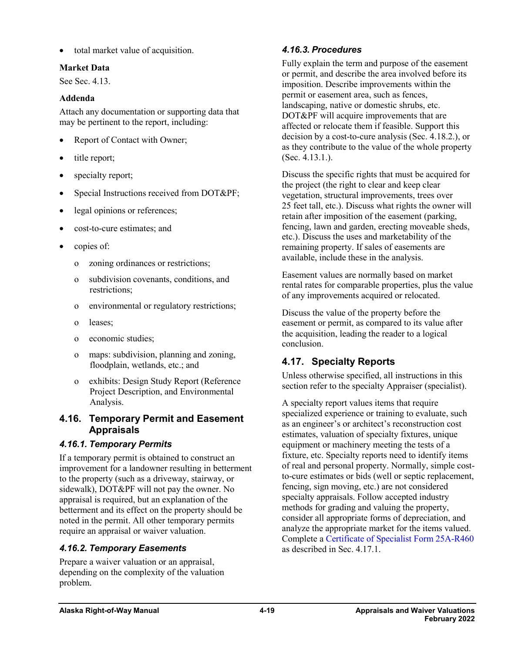• total market value of acquisition.

## **Market Data**

See Sec. 4.13.

## **Addenda**

Attach any documentation or supporting data that may be pertinent to the report, including:

- Report of Contact with Owner;
- title report;
- specialty report;
- Special Instructions received from DOT&PF;
- legal opinions or references;
- cost-to-cure estimates; and
- copies of:
	- o zoning ordinances or restrictions;
	- o subdivision covenants, conditions, and restrictions;
	- o environmental or regulatory restrictions;
	- o leases;
	- o economic studies;
	- o maps: subdivision, planning and zoning, floodplain, wetlands, etc.; and
	- o exhibits: Design Study Report (Reference Project Description, and Environmental Analysis.

# **4.16. Temporary Permit and Easement Appraisals**

# *4.16.1. Temporary Permits*

If a temporary permit is obtained to construct an improvement for a landowner resulting in betterment to the property (such as a driveway, stairway, or sidewalk), DOT&PF will not pay the owner. No appraisal is required, but an explanation of the betterment and its effect on the property should be noted in the permit. All other temporary permits require an appraisal or waiver valuation.

# *4.16.2. Temporary Easements*

Prepare a waiver valuation or an appraisal, depending on the complexity of the valuation problem.

# *4.16.3. Procedures*

Fully explain the term and purpose of the easement or permit, and describe the area involved before its imposition. Describe improvements within the permit or easement area, such as fences, landscaping, native or domestic shrubs, etc. DOT&PF will acquire improvements that are affected or relocate them if feasible. Support this decision by a cost-to-cure analysis (Sec. 4.18.2.), or as they contribute to the value of the whole property (Sec. 4.13.1.).

Discuss the specific rights that must be acquired for the project (the right to clear and keep clear vegetation, structural improvements, trees over 25 feet tall, etc.). Discuss what rights the owner will retain after imposition of the easement (parking, fencing, lawn and garden, erecting moveable sheds, etc.). Discuss the uses and marketability of the remaining property. If sales of easements are available, include these in the analysis.

Easement values are normally based on market rental rates for comparable properties, plus the value of any improvements acquired or relocated.

Discuss the value of the property before the easement or permit, as compared to its value after the acquisition, leading the reader to a logical conclusion.

# **4.17. Specialty Reports**

Unless otherwise specified, all instructions in this section refer to the specialty Appraiser (specialist).

A specialty report values items that require specialized experience or training to evaluate, such as an engineer's or architect's reconstruction cost estimates, valuation of specialty fixtures, unique equipment or machinery meeting the tests of a fixture, etc. Specialty reports need to identify items of real and personal property. Normally, simple costto-cure estimates or bids (well or septic replacement, fencing, sign moving, etc.) are not considered specialty appraisals. Follow accepted industry methods for grading and valuing the property, consider all appropriate forms of depreciation, and analyze the appropriate market for the items valued. Complete a [Certificate of Specialist Form](http://www.dot.state.ak.us/stwddes/dcsrow/assets/pdf/forms/25ar460.pdf) 25A-R460 as described in Sec. 4.17.1.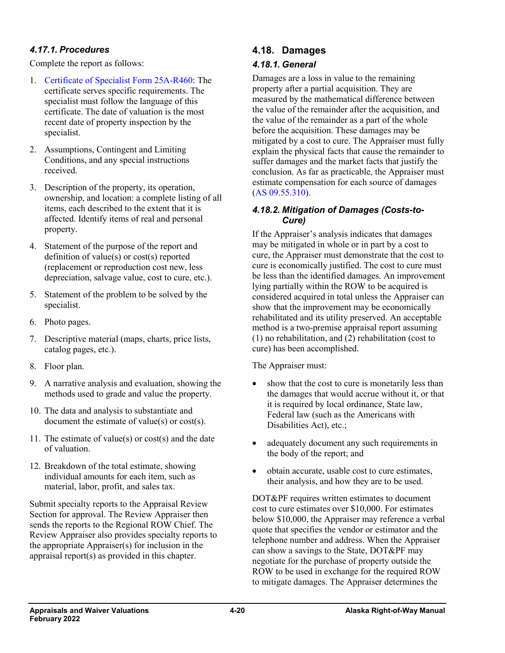### *4.17.1. Procedures*

Complete the report as follows:

- 1. [Certificate of Specialist Form](http://www.dot.state.ak.us/stwddes/dcsrow/assets/pdf/forms/25ar460.pdf) 25A-R460: The certificate serves specific requirements. The specialist must follow the language of this certificate. The date of valuation is the most recent date of property inspection by the specialist.
- 2. Assumptions, Contingent and Limiting Conditions, and any special instructions received.
- 3. Description of the property, its operation, ownership, and location: a complete listing of all items, each described to the extent that it is affected. Identify items of real and personal property.
- 4. Statement of the purpose of the report and definition of value(s) or cost(s) reported (replacement or reproduction cost new, less depreciation, salvage value, cost to cure, etc.).
- 5. Statement of the problem to be solved by the specialist.
- 6. Photo pages.
- 7. Descriptive material (maps, charts, price lists, catalog pages, etc.).
- 8. Floor plan.
- 9. A narrative analysis and evaluation, showing the methods used to grade and value the property.
- 10. The data and analysis to substantiate and document the estimate of value(s) or cost(s).
- 11. The estimate of value(s) or cost(s) and the date of valuation.
- 12. Breakdown of the total estimate, showing individual amounts for each item, such as material, labor, profit, and sales tax.

Submit specialty reports to the Appraisal Review Section for approval. The Review Appraiser then sends the reports to the Regional ROW Chief. The Review Appraiser also provides specialty reports to the appropriate Appraiser(s) for inclusion in the appraisal report(s) as provided in this chapter.

# **4.18. Damages** *4.18.1. General*

Damages are a loss in value to the remaining property after a partial acquisition. They are measured by the mathematical difference between the value of the remainder after the acquisition, and the value of the remainder as a part of the whole before the acquisition. These damages may be mitigated by a cost to cure. The Appraiser must fully explain the physical facts that cause the remainder to suffer damages and the market facts that justify the conclusion. As far as practicable, the Appraiser must estimate compensation for each source of damages (AS [09.55.310\)](http://www.akleg.gov/basis/statutes.asp#09.55.310).

#### *4.18.2. Mitigation of Damages (Costs-to-Cure)*

If the Appraiser's analysis indicates that damages may be mitigated in whole or in part by a cost to cure, the Appraiser must demonstrate that the cost to cure is economically justified. The cost to cure must be less than the identified damages. An improvement lying partially within the ROW to be acquired is considered acquired in total unless the Appraiser can show that the improvement may be economically rehabilitated and its utility preserved. An acceptable method is a two-premise appraisal report assuming (1) no rehabilitation, and (2) rehabilitation (cost to cure) has been accomplished.

The Appraiser must:

- show that the cost to cure is monetarily less than the damages that would accrue without it, or that it is required by local ordinance, State law, Federal law (such as the Americans with Disabilities Act), etc.:
- adequately document any such requirements in the body of the report; and
- obtain accurate, usable cost to cure estimates, their analysis, and how they are to be used.

DOT&PF requires written estimates to document cost to cure estimates over \$10,000. For estimates below \$10,000, the Appraiser may reference a verbal quote that specifies the vendor or estimator and the telephone number and address. When the Appraiser can show a savings to the State, DOT&PF may negotiate for the purchase of property outside the ROW to be used in exchange for the required ROW to mitigate damages. The Appraiser determines the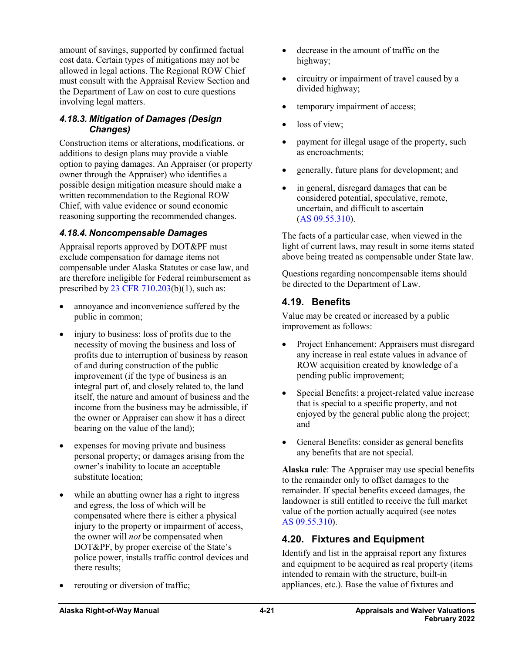amount of savings, supported by confirmed factual cost data. Certain types of mitigations may not be allowed in legal actions. The Regional ROW Chief must consult with the Appraisal Review Section and the Department of Law on cost to cure questions involving legal matters.

# *4.18.3. Mitigation of Damages (Design Changes)*

Construction items or alterations, modifications, or additions to design plans may provide a viable option to paying damages. An Appraiser (or property owner through the Appraiser) who identifies a possible design mitigation measure should make a written recommendation to the Regional ROW Chief, with value evidence or sound economic reasoning supporting the recommended changes.

# *4.18.4. Noncompensable Damages*

Appraisal reports approved by DOT&PF must exclude compensation for damage items not compensable under Alaska Statutes or case law, and are therefore ineligible for Federal reimbursement as prescribed by  $23$  CFR  $710.203(b)(1)$  $710.203(b)(1)$ , such as:

- annoyance and inconvenience suffered by the public in common;
- injury to business: loss of profits due to the necessity of moving the business and loss of profits due to interruption of business by reason of and during construction of the public improvement (if the type of business is an integral part of, and closely related to, the land itself, the nature and amount of business and the income from the business may be admissible, if the owner or Appraiser can show it has a direct bearing on the value of the land);
- expenses for moving private and business personal property; or damages arising from the owner's inability to locate an acceptable substitute location;
- while an abutting owner has a right to ingress and egress, the loss of which will be compensated where there is either a physical injury to the property or impairment of access, the owner will *not* be compensated when DOT&PF, by proper exercise of the State's police power, installs traffic control devices and there results;
- rerouting or diversion of traffic;
- decrease in the amount of traffic on the highway;
- circuitry or impairment of travel caused by a divided highway;
- temporary impairment of access;
- loss of view:
- payment for illegal usage of the property, such as encroachments;
- generally, future plans for development; and
- in general, disregard damages that can be considered potential, speculative, remote, uncertain, and difficult to ascertain (AS [09.55.310\)](http://www.akleg.gov/basis/statutes.asp#09.55.310).

The facts of a particular case, when viewed in the light of current laws, may result in some items stated above being treated as compensable under State law.

Questions regarding noncompensable items should be directed to the Department of Law.

# **4.19. Benefits**

Value may be created or increased by a public improvement as follows:

- Project Enhancement: Appraisers must disregard any increase in real estate values in advance of ROW acquisition created by knowledge of a pending public improvement;
- Special Benefits: a project-related value increase that is special to a specific property, and not enjoyed by the general public along the project; and
- General Benefits: consider as general benefits any benefits that are not special.

**Alaska rule**: The Appraiser may use special benefits to the remainder only to offset damages to the remainder. If special benefits exceed damages, the landowner is still entitled to receive the full market value of the portion actually acquired (see notes AS [09.55.310\)](http://www.akleg.gov/basis/statutes.asp#09.55.310).

# **4.20. Fixtures and Equipment**

Identify and list in the appraisal report any fixtures and equipment to be acquired as real property (items intended to remain with the structure, built-in appliances, etc.). Base the value of fixtures and